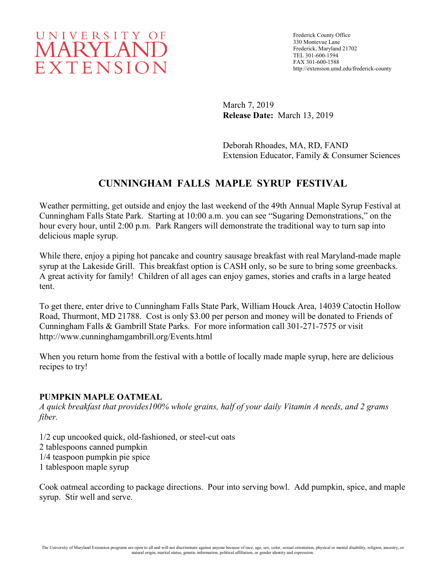# UNIVERSITY OF MARYLAND EXTENSION

March 7, 2019 **Release Date:** March 13, 2019

Deborah Rhoades, MA, RD, FAND Extension Educator, Family & Consumer Sciences

## **CUNNINGHAM FALLS MAPLE SYRUP FESTIVAL**

Weather permitting, get outside and enjoy the last weekend of the 49th Annual Maple Syrup Festival at Cunningham Falls State Park. Starting at 10:00 a.m. you can see "Sugaring Demonstrations," on the hour every hour, until 2:00 p.m. Park Rangers will demonstrate the traditional way to turn sap into delicious maple syrup.

While there, enjoy a piping hot pancake and country sausage breakfast with real Maryland-made maple syrup at the Lakeside Grill. This breakfast option is CASH only, so be sure to bring some greenbacks. A great activity for family! Children of all ages can enjoy games, stories and crafts in a large heated tent.

To get there, enter drive to Cunningham Falls State Park, William Houck Area, 14039 Catoctin Hollow Road, Thurmont, MD 21788. Cost is only \$3.00 per person and money will be donated to Friends of Cunningham Falls & Gambrill State Parks. For more information call 301-271-7575 or visit http://www.cunninghamgambrill.org/Events.html

When you return home from the festival with a bottle of locally made maple syrup, here are delicious recipes to try!

### **PUMPKIN MAPLE OATMEAL**

*A quick breakfast that provides100% whole grains, half of your daily Vitamin A needs, and 2 grams fiber.*

1/2 cup uncooked quick, old-fashioned, or steel-cut oats 2 tablespoons canned pumpkin 1/4 teaspoon pumpkin pie spice 1 tablespoon maple syrup

Cook oatmeal according to package directions. Pour into serving bowl. Add pumpkin, spice, and maple syrup. Stir well and serve.